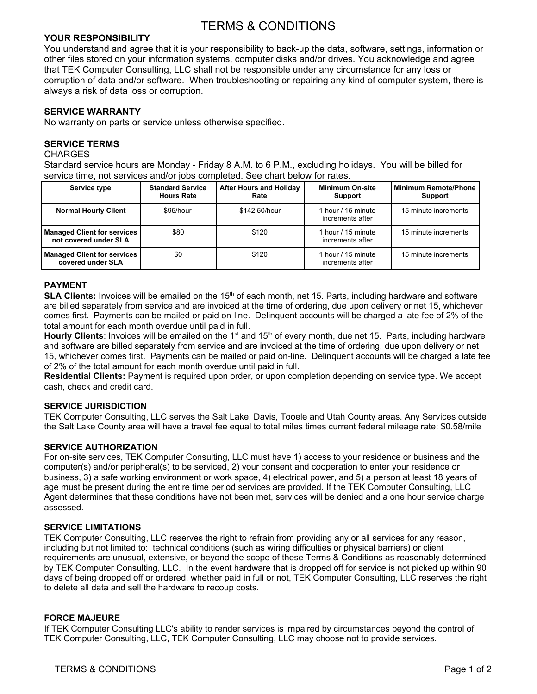# TERMS & CONDITIONS

# **YOUR RESPONSIBILITY**

You understand and agree that it is your responsibility to back-up the data, software, settings, information or other files stored on your information systems, computer disks and/or drives. You acknowledge and agree that TEK Computer Consulting, LLC shall not be responsible under any circumstance for any loss or corruption of data and/or software. When troubleshooting or repairing any kind of computer system, there is always a risk of data loss or corruption.

# **SERVICE WARRANTY**

No warranty on parts or service unless otherwise specified.

## **SERVICE TERMS**

#### CHARGES

Standard service hours are Monday - Friday 8 A.M. to 6 P.M., excluding holidays. You will be billed for service time, not services and/or jobs completed. See chart below for rates.

| Service type                                                | <b>Standard Service</b><br><b>Hours Rate</b> | <b>After Hours and Holiday</b><br>Rate | <b>Minimum On-site</b><br>Support      | Minimum Remote/Phone<br><b>Support</b> |
|-------------------------------------------------------------|----------------------------------------------|----------------------------------------|----------------------------------------|----------------------------------------|
| <b>Normal Hourly Client</b>                                 | \$95/hour                                    | \$142.50/hour                          | 1 hour / 15 minute<br>increments after | 15 minute increments                   |
| <b>Managed Client for services</b><br>not covered under SLA | \$80                                         | \$120                                  | 1 hour / 15 minute<br>increments after | 15 minute increments                   |
| <b>Managed Client for services</b><br>covered under SLA     | \$0                                          | \$120                                  | 1 hour / 15 minute<br>increments after | 15 minute increments                   |

## **PAYMENT**

**SLA Clients:** Invoices will be emailed on the 15<sup>th</sup> of each month, net 15. Parts, including hardware and software are billed separately from service and are invoiced at the time of ordering, due upon delivery or net 15, whichever comes first. Payments can be mailed or paid on-line. Delinquent accounts will be charged a late fee of 2% of the total amount for each month overdue until paid in full.

**Hourly Clients**: Invoices will be emailed on the 1<sup>st</sup> and 15<sup>th</sup> of every month, due net 15. Parts, including hardware and software are billed separately from service and are invoiced at the time of ordering, due upon delivery or net 15, whichever comes first. Payments can be mailed or paid on-line. Delinquent accounts will be charged a late fee of 2% of the total amount for each month overdue until paid in full.

**Residential Clients:** Payment is required upon order, or upon completion depending on service type. We accept cash, check and credit card.

## **SERVICE JURISDICTION**

TEK Computer Consulting, LLC serves the Salt Lake, Davis, Tooele and Utah County areas. Any Services outside the Salt Lake County area will have a travel fee equal to total miles times current federal mileage rate: \$0.58/mile

## **SERVICE AUTHORIZATION**

For on-site services, TEK Computer Consulting, LLC must have 1) access to your residence or business and the computer(s) and/or peripheral(s) to be serviced, 2) your consent and cooperation to enter your residence or business, 3) a safe working environment or work space, 4) electrical power, and 5) a person at least 18 years of age must be present during the entire time period services are provided. If the TEK Computer Consulting, LLC Agent determines that these conditions have not been met, services will be denied and a one hour service charge assessed.

## **SERVICE LIMITATIONS**

TEK Computer Consulting, LLC reserves the right to refrain from providing any or all services for any reason, including but not limited to: technical conditions (such as wiring difficulties or physical barriers) or client requirements are unusual, extensive, or beyond the scope of these Terms & Conditions as reasonably determined by TEK Computer Consulting, LLC. In the event hardware that is dropped off for service is not picked up within 90 days of being dropped off or ordered, whether paid in full or not, TEK Computer Consulting, LLC reserves the right to delete all data and sell the hardware to recoup costs.

## **FORCE MAJEURE**

If TEK Computer Consulting LLC's ability to render services is impaired by circumstances beyond the control of TEK Computer Consulting, LLC, TEK Computer Consulting, LLC may choose not to provide services.